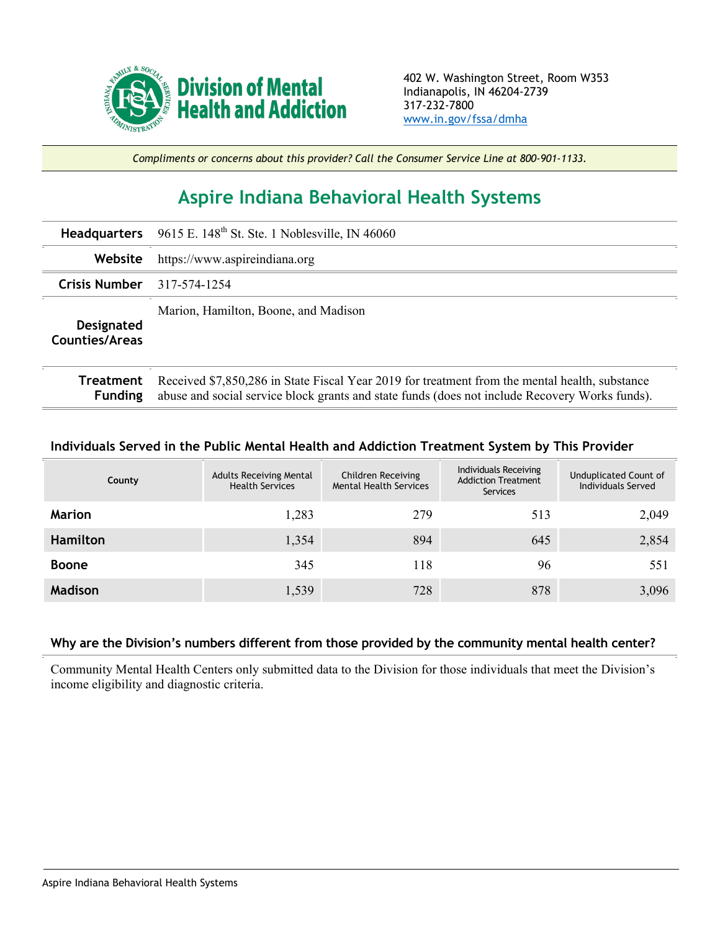

*Compliments or concerns about this provider? Call the Consumer Service Line at 800-901-1133.*

## **Aspire Indiana Behavioral Health Systems**

|                                     | Headquarters 9615 E. 148 <sup>th</sup> St. Ste. 1 Noblesville, IN 46060                                                                                                                          |  |
|-------------------------------------|--------------------------------------------------------------------------------------------------------------------------------------------------------------------------------------------------|--|
| Website                             | https://www.aspireindiana.org                                                                                                                                                                    |  |
| <b>Crisis Number</b>                | 317-574-1254                                                                                                                                                                                     |  |
| Designated<br><b>Counties/Areas</b> | Marion, Hamilton, Boone, and Madison                                                                                                                                                             |  |
| Treatment<br><b>Funding</b>         | Received \$7,850,286 in State Fiscal Year 2019 for treatment from the mental health, substance<br>abuse and social service block grants and state funds (does not include Recovery Works funds). |  |

## **Individuals Served in the Public Mental Health and Addiction Treatment System by This Provider**

| County          | <b>Adults Receiving Mental</b><br><b>Health Services</b> | Children Receiving<br><b>Mental Health Services</b> | Individuals Receiving<br><b>Addiction Treatment</b><br>Services | Unduplicated Count of<br>Individuals Served |
|-----------------|----------------------------------------------------------|-----------------------------------------------------|-----------------------------------------------------------------|---------------------------------------------|
| <b>Marion</b>   | 1,283                                                    | 279                                                 | 513                                                             | 2,049                                       |
| <b>Hamilton</b> | 1,354                                                    | 894                                                 | 645                                                             | 2,854                                       |
| <b>Boone</b>    | 345                                                      | 118                                                 | 96                                                              | 551                                         |
| Madison         | 1,539                                                    | 728                                                 | 878                                                             | 3,096                                       |

## **Why are the Division's numbers different from those provided by the community mental health center?**

Community Mental Health Centers only submitted data to the Division for those individuals that meet the Division's income eligibility and diagnostic criteria.